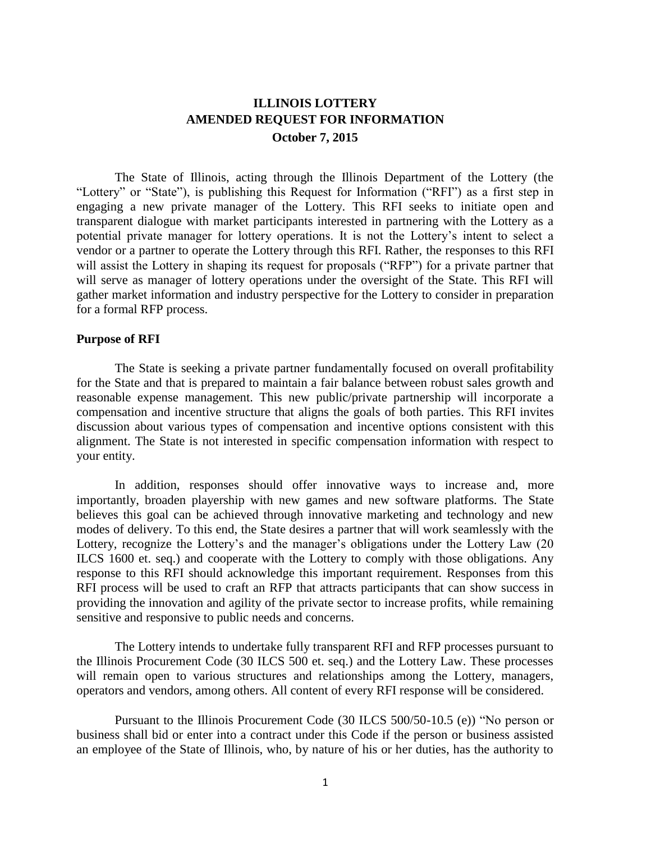# **ILLINOIS LOTTERY AMENDED REQUEST FOR INFORMATION October 7, 2015**

The State of Illinois, acting through the Illinois Department of the Lottery (the "Lottery" or "State"), is publishing this Request for Information ("RFI") as a first step in engaging a new private manager of the Lottery. This RFI seeks to initiate open and transparent dialogue with market participants interested in partnering with the Lottery as a potential private manager for lottery operations. It is not the Lottery's intent to select a vendor or a partner to operate the Lottery through this RFI. Rather, the responses to this RFI will assist the Lottery in shaping its request for proposals ("RFP") for a private partner that will serve as manager of lottery operations under the oversight of the State. This RFI will gather market information and industry perspective for the Lottery to consider in preparation for a formal RFP process.

### **Purpose of RFI**

The State is seeking a private partner fundamentally focused on overall profitability for the State and that is prepared to maintain a fair balance between robust sales growth and reasonable expense management. This new public/private partnership will incorporate a compensation and incentive structure that aligns the goals of both parties. This RFI invites discussion about various types of compensation and incentive options consistent with this alignment. The State is not interested in specific compensation information with respect to your entity.

In addition, responses should offer innovative ways to increase and, more importantly, broaden playership with new games and new software platforms. The State believes this goal can be achieved through innovative marketing and technology and new modes of delivery. To this end, the State desires a partner that will work seamlessly with the Lottery, recognize the Lottery's and the manager's obligations under the Lottery Law (20 ILCS 1600 et. seq.) and cooperate with the Lottery to comply with those obligations. Any response to this RFI should acknowledge this important requirement. Responses from this RFI process will be used to craft an RFP that attracts participants that can show success in providing the innovation and agility of the private sector to increase profits, while remaining sensitive and responsive to public needs and concerns.

The Lottery intends to undertake fully transparent RFI and RFP processes pursuant to the Illinois Procurement Code (30 ILCS 500 et. seq.) and the Lottery Law. These processes will remain open to various structures and relationships among the Lottery, managers, operators and vendors, among others. All content of every RFI response will be considered.

Pursuant to the Illinois Procurement Code (30 ILCS 500/50-10.5 (e)) "No person or business shall bid or enter into a contract under this Code if the person or business assisted an employee of the State of Illinois, who, by nature of his or her duties, has the authority to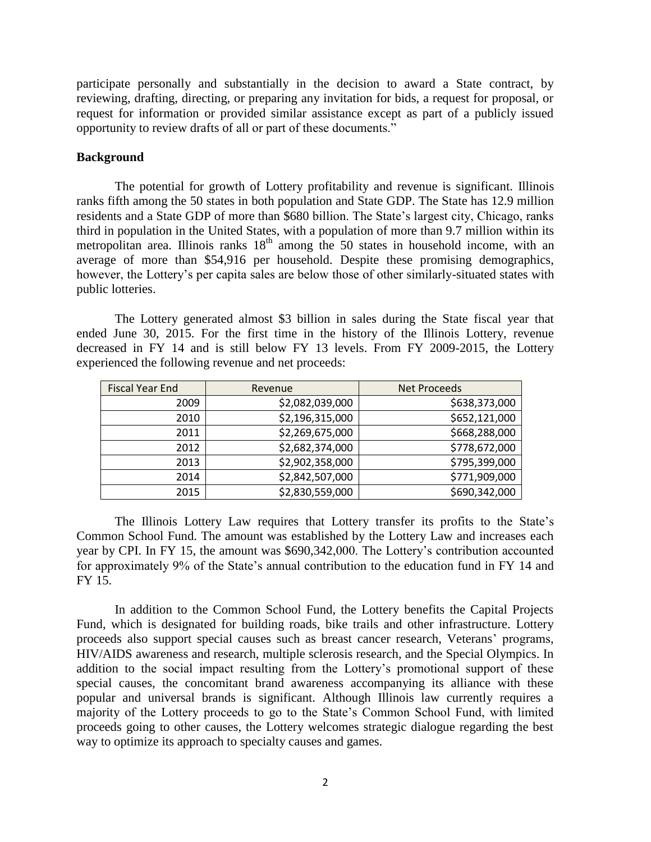participate personally and substantially in the decision to award a State contract, by reviewing, drafting, directing, or preparing any invitation for bids, a request for proposal, or request for information or provided similar assistance except as part of a publicly issued opportunity to review drafts of all or part of these documents."

### **Background**

The potential for growth of Lottery profitability and revenue is significant. Illinois ranks fifth among the 50 states in both population and State GDP. The State has 12.9 million residents and a State GDP of more than \$680 billion. The State's largest city, Chicago, ranks third in population in the United States, with a population of more than 9.7 million within its metropolitan area. Illinois ranks  $18<sup>th</sup>$  among the 50 states in household income, with an average of more than \$54,916 per household. Despite these promising demographics, however, the Lottery's per capita sales are below those of other similarly-situated states with public lotteries.

The Lottery generated almost \$3 billion in sales during the State fiscal year that ended June 30, 2015. For the first time in the history of the Illinois Lottery, revenue decreased in FY 14 and is still below FY 13 levels. From FY 2009-2015, the Lottery experienced the following revenue and net proceeds:

| <b>Fiscal Year End</b> | Revenue         | Net Proceeds  |
|------------------------|-----------------|---------------|
| 2009                   | \$2,082,039,000 | \$638,373,000 |
| 2010                   | \$2,196,315,000 | \$652,121,000 |
| 2011                   | \$2,269,675,000 | \$668,288,000 |
| 2012                   | \$2,682,374,000 | \$778,672,000 |
| 2013                   | \$2,902,358,000 | \$795,399,000 |
| 2014                   | \$2,842,507,000 | \$771,909,000 |
| 2015                   | \$2,830,559,000 | \$690,342,000 |

The Illinois Lottery Law requires that Lottery transfer its profits to the State's Common School Fund. The amount was established by the Lottery Law and increases each year by CPI. In FY 15, the amount was \$690,342,000. The Lottery's contribution accounted for approximately 9% of the State's annual contribution to the education fund in FY 14 and FY 15.

In addition to the Common School Fund, the Lottery benefits the Capital Projects Fund, which is designated for building roads, bike trails and other infrastructure. Lottery proceeds also support special causes such as breast cancer research, Veterans' programs, HIV/AIDS awareness and research, multiple sclerosis research, and the Special Olympics. In addition to the social impact resulting from the Lottery's promotional support of these special causes, the concomitant brand awareness accompanying its alliance with these popular and universal brands is significant. Although Illinois law currently requires a majority of the Lottery proceeds to go to the State's Common School Fund, with limited proceeds going to other causes, the Lottery welcomes strategic dialogue regarding the best way to optimize its approach to specialty causes and games.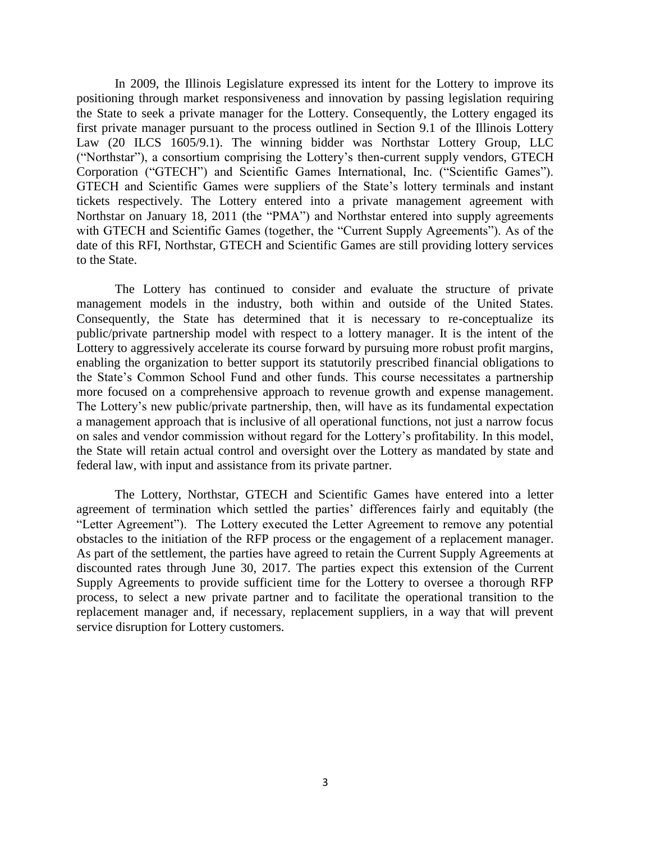In 2009, the Illinois Legislature expressed its intent for the Lottery to improve its positioning through market responsiveness and innovation by passing legislation requiring the State to seek a private manager for the Lottery. Consequently, the Lottery engaged its first private manager pursuant to the process outlined in Section 9.1 of the Illinois Lottery Law (20 ILCS 1605/9.1). The winning bidder was Northstar Lottery Group, LLC ("Northstar"), a consortium comprising the Lottery's then-current supply vendors, GTECH Corporation ("GTECH") and Scientific Games International, Inc. ("Scientific Games"). GTECH and Scientific Games were suppliers of the State's lottery terminals and instant tickets respectively. The Lottery entered into a private management agreement with Northstar on January 18, 2011 (the "PMA") and Northstar entered into supply agreements with GTECH and Scientific Games (together, the "Current Supply Agreements"). As of the date of this RFI, Northstar, GTECH and Scientific Games are still providing lottery services to the State.

The Lottery has continued to consider and evaluate the structure of private management models in the industry, both within and outside of the United States. Consequently, the State has determined that it is necessary to re-conceptualize its public/private partnership model with respect to a lottery manager. It is the intent of the Lottery to aggressively accelerate its course forward by pursuing more robust profit margins, enabling the organization to better support its statutorily prescribed financial obligations to the State's Common School Fund and other funds. This course necessitates a partnership more focused on a comprehensive approach to revenue growth and expense management. The Lottery's new public/private partnership, then, will have as its fundamental expectation a management approach that is inclusive of all operational functions, not just a narrow focus on sales and vendor commission without regard for the Lottery's profitability. In this model, the State will retain actual control and oversight over the Lottery as mandated by state and federal law, with input and assistance from its private partner.

The Lottery, Northstar, GTECH and Scientific Games have entered into a letter agreement of termination which settled the parties' differences fairly and equitably (the "Letter Agreement"). The Lottery executed the Letter Agreement to remove any potential obstacles to the initiation of the RFP process or the engagement of a replacement manager. As part of the settlement, the parties have agreed to retain the Current Supply Agreements at discounted rates through June 30, 2017. The parties expect this extension of the Current Supply Agreements to provide sufficient time for the Lottery to oversee a thorough RFP process, to select a new private partner and to facilitate the operational transition to the replacement manager and, if necessary, replacement suppliers, in a way that will prevent service disruption for Lottery customers.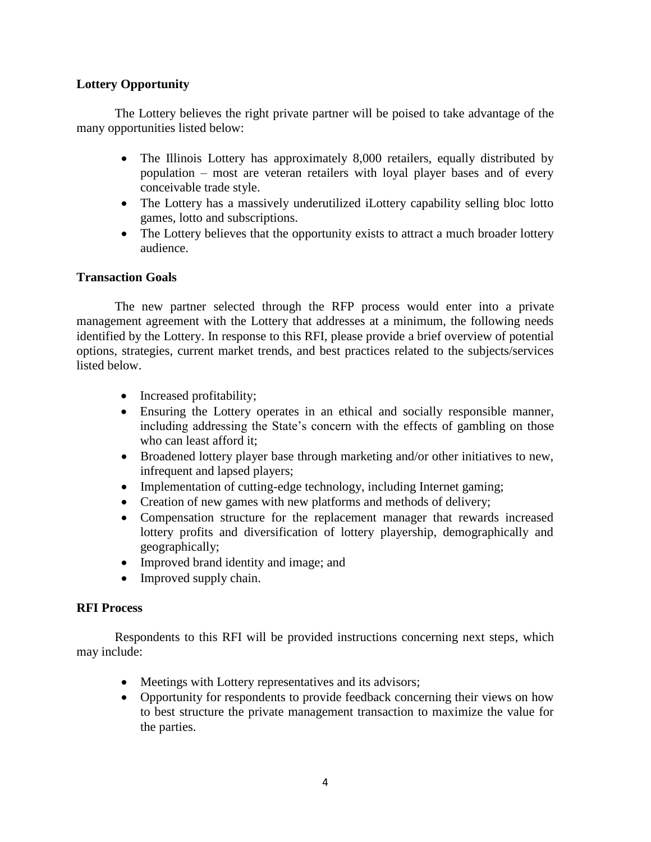## **Lottery Opportunity**

The Lottery believes the right private partner will be poised to take advantage of the many opportunities listed below:

- The Illinois Lottery has approximately 8,000 retailers, equally distributed by population – most are veteran retailers with loyal player bases and of every conceivable trade style.
- The Lottery has a massively underutilized iLottery capability selling bloc lotto games, lotto and subscriptions.
- The Lottery believes that the opportunity exists to attract a much broader lottery audience.

# **Transaction Goals**

The new partner selected through the RFP process would enter into a private management agreement with the Lottery that addresses at a minimum, the following needs identified by the Lottery. In response to this RFI, please provide a brief overview of potential options, strategies, current market trends, and best practices related to the subjects/services listed below.

- Increased profitability;
- Ensuring the Lottery operates in an ethical and socially responsible manner, including addressing the State's concern with the effects of gambling on those who can least afford it;
- Broadened lottery player base through marketing and/or other initiatives to new, infrequent and lapsed players;
- Implementation of cutting-edge technology, including Internet gaming;
- Creation of new games with new platforms and methods of delivery;
- Compensation structure for the replacement manager that rewards increased lottery profits and diversification of lottery playership, demographically and geographically;
- Improved brand identity and image; and
- Improved supply chain.

## **RFI Process**

Respondents to this RFI will be provided instructions concerning next steps, which may include:

- Meetings with Lottery representatives and its advisors;
- Opportunity for respondents to provide feedback concerning their views on how to best structure the private management transaction to maximize the value for the parties.